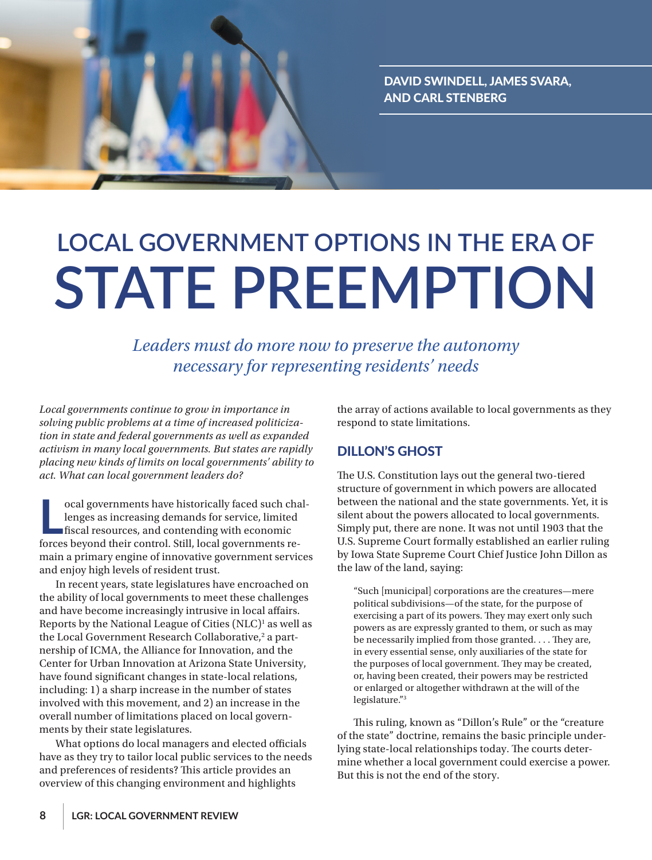

# **LOCAL GOVERNMENT OPTIONS IN THE ERA OF STATE PREEMPTION**

*Leaders must do more now to preserve the autonomy necessary for representing residents' needs*

*Local governments continue to grow in importance in solving public problems at a time of increased politicization in state and federal governments as well as expanded activism in many local governments. But states are rapidly placing new kinds of limits on local governments' ability to act. What can local government leaders do?*

ocal governments have historically faced such chalenges as increasing demands for service, limited fiscal resources, and contending with economic forces beyond their control. Still, local governments reocal governments have historically faced such challenges as increasing demands for service, limited fiscal resources, and contending with economic main a primary engine of innovative government services and enjoy high levels of resident trust.

In recent years, state legislatures have encroached on the ability of local governments to meet these challenges and have become increasingly intrusive in local affairs. Reports by the National League of Cities (NLC)<sup>1</sup> as well as the Local Government Research Collaborative,<sup>2</sup> a partnership of ICMA, the Alliance for Innovation, and the Center for Urban Innovation at Arizona State University, have found significant changes in state-local relations, including: 1) a sharp increase in the number of states involved with this movement, and 2) an increase in the overall number of limitations placed on local governments by their state legislatures.

What options do local managers and elected officials have as they try to tailor local public services to the needs and preferences of residents? This article provides an overview of this changing environment and highlights

the array of actions available to local governments as they respond to state limitations.

## DILLON'S GHOST

The U.S. Constitution lays out the general two-tiered structure of government in which powers are allocated between the national and the state governments. Yet, it is silent about the powers allocated to local governments. Simply put, there are none. It was not until 1903 that the U.S. Supreme Court formally established an earlier ruling by Iowa State Supreme Court Chief Justice John Dillon as the law of the land, saying:

"Such [municipal] corporations are the creatures—mere political subdivisions—of the state, for the purpose of exercising a part of its powers. They may exert only such powers as are expressly granted to them, or such as may be necessarily implied from those granted. . . . They are, in every essential sense, only auxiliaries of the state for the purposes of local government. They may be created, or, having been created, their powers may be restricted or enlarged or altogether withdrawn at the will of the legislature."3

This ruling, known as "Dillon's Rule" or the "creature of the state" doctrine, remains the basic principle underlying state-local relationships today. The courts determine whether a local government could exercise a power. But this is not the end of the story.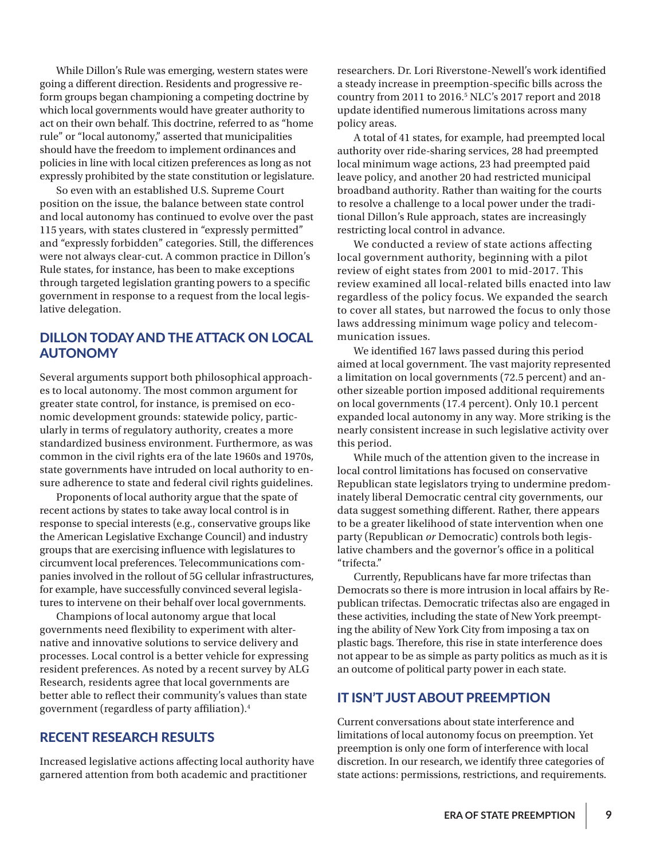While Dillon's Rule was emerging, western states were going a different direction. Residents and progressive reform groups began championing a competing doctrine by which local governments would have greater authority to act on their own behalf. This doctrine, referred to as "home rule" or "local autonomy," asserted that municipalities should have the freedom to implement ordinances and policies in line with local citizen preferences as long as not expressly prohibited by the state constitution or legislature.

So even with an established U.S. Supreme Court position on the issue, the balance between state control and local autonomy has continued to evolve over the past 115 years, with states clustered in "expressly permitted" and "expressly forbidden" categories. Still, the differences were not always clear-cut. A common practice in Dillon's Rule states, for instance, has been to make exceptions through targeted legislation granting powers to a specific government in response to a request from the local legislative delegation.

## DILLON TODAY AND THE ATTACK ON LOCAL AUTONOMY

Several arguments support both philosophical approaches to local autonomy. The most common argument for greater state control, for instance, is premised on economic development grounds: statewide policy, particularly in terms of regulatory authority, creates a more standardized business environment. Furthermore, as was common in the civil rights era of the late 1960s and 1970s, state governments have intruded on local authority to ensure adherence to state and federal civil rights guidelines.

Proponents of local authority argue that the spate of recent actions by states to take away local control is in response to special interests (e.g., conservative groups like the American Legislative Exchange Council) and industry groups that are exercising influence with legislatures to circumvent local preferences. Telecommunications companies involved in the rollout of 5G cellular infrastructures, for example, have successfully convinced several legislatures to intervene on their behalf over local governments.

Champions of local autonomy argue that local governments need flexibility to experiment with alternative and innovative solutions to service delivery and processes. Local control is a better vehicle for expressing resident preferences. As noted by a recent survey by ALG Research, residents agree that local governments are better able to reflect their community's values than state government (regardless of party affiliation).4

#### RECENT RESEARCH RESULTS

Increased legislative actions affecting local authority have garnered attention from both academic and practitioner

researchers. Dr. Lori Riverstone-Newell's work identified a steady increase in preemption-specific bills across the country from 2011 to 2016.5 NLC's 2017 report and 2018 update identified numerous limitations across many policy areas.

A total of 41 states, for example, had preempted local authority over ride-sharing services, 28 had preempted local minimum wage actions, 23 had preempted paid leave policy, and another 20 had restricted municipal broadband authority. Rather than waiting for the courts to resolve a challenge to a local power under the traditional Dillon's Rule approach, states are increasingly restricting local control in advance.

We conducted a review of state actions affecting local government authority, beginning with a pilot review of eight states from 2001 to mid-2017. This review examined all local-related bills enacted into law regardless of the policy focus. We expanded the search to cover all states, but narrowed the focus to only those laws addressing minimum wage policy and telecommunication issues.

We identified 167 laws passed during this period aimed at local government. The vast majority represented a limitation on local governments (72.5 percent) and another sizeable portion imposed additional requirements on local governments (17.4 percent). Only 10.1 percent expanded local autonomy in any way. More striking is the nearly consistent increase in such legislative activity over this period.

While much of the attention given to the increase in local control limitations has focused on conservative Republican state legislators trying to undermine predominately liberal Democratic central city governments, our data suggest something different. Rather, there appears to be a greater likelihood of state intervention when one party (Republican *or* Democratic) controls both legislative chambers and the governor's office in a political "trifecta."

Currently, Republicans have far more trifectas than Democrats so there is more intrusion in local affairs by Republican trifectas. Democratic trifectas also are engaged in these activities, including the state of New York preempting the ability of New York City from imposing a tax on plastic bags. Therefore, this rise in state interference does not appear to be as simple as party politics as much as it is an outcome of political party power in each state.

#### IT ISN'T JUST ABOUT PREEMPTION

Current conversations about state interference and limitations of local autonomy focus on preemption. Yet preemption is only one form of interference with local discretion. In our research, we identify three categories of state actions: permissions, restrictions, and requirements.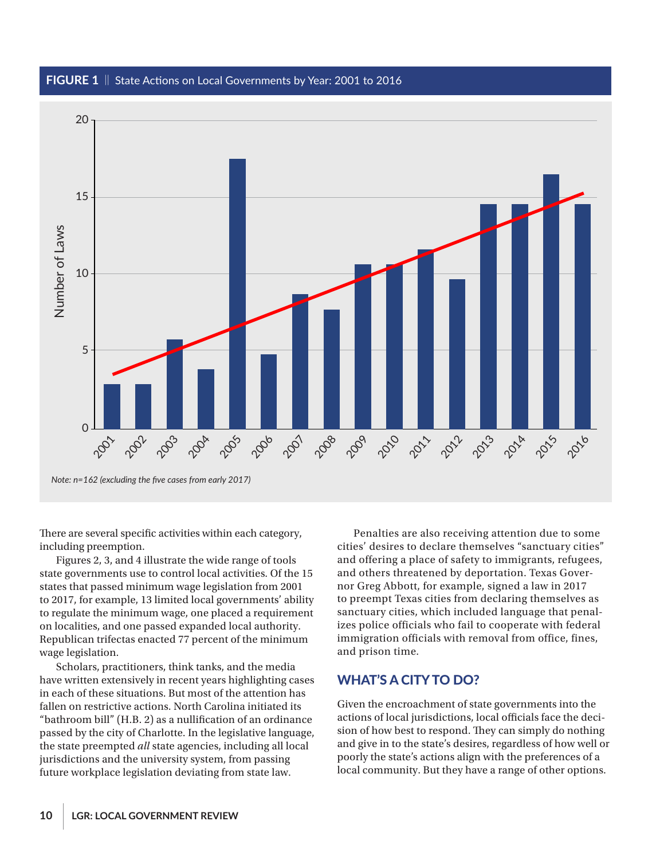#### FIGURE 1 || State Actions on Local Governments by Year: 2001 to 2016



There are several specific activities within each category, including preemption.

Figures 2, 3, and 4 illustrate the wide range of tools state governments use to control local activities. Of the 15 states that passed minimum wage legislation from 2001 to 2017, for example, 13 limited local governments' ability to regulate the minimum wage, one placed a requirement on localities, and one passed expanded local authority. Republican trifectas enacted 77 percent of the minimum wage legislation.

Scholars, practitioners, think tanks, and the media have written extensively in recent years highlighting cases in each of these situations. But most of the attention has fallen on restrictive actions. North Carolina initiated its "bathroom bill" (H.B. 2) as a nullification of an ordinance passed by the city of Charlotte. In the legislative language, the state preempted *all* state agencies, including all local jurisdictions and the university system, from passing future workplace legislation deviating from state law.

Penalties are also receiving attention due to some cities' desires to declare themselves "sanctuary cities" and offering a place of safety to immigrants, refugees, and others threatened by deportation. Texas Governor Greg Abbott, for example, signed a law in 2017 to preempt Texas cities from declaring themselves as sanctuary cities, which included language that penalizes police officials who fail to cooperate with federal immigration officials with removal from office, fines, and prison time.

#### WHAT'S A CITY TO DO?

Given the encroachment of state governments into the actions of local jurisdictions, local officials face the decision of how best to respond. They can simply do nothing and give in to the state's desires, regardless of how well or poorly the state's actions align with the preferences of a local community. But they have a range of other options.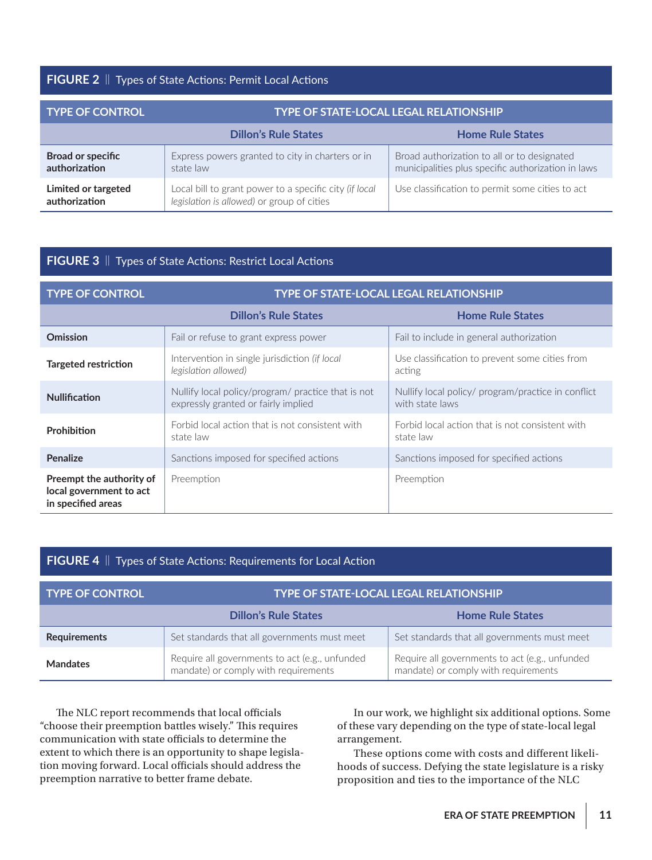#### **FIGURE 2** || Types of State Actions: Permit Local Actions

| <b>TYPE OF CONTROL</b>                    | <b>TYPE OF STATE-LOCAL LEGAL RELATIONSHIP</b>                                                        |                                                                                                   |  |
|-------------------------------------------|------------------------------------------------------------------------------------------------------|---------------------------------------------------------------------------------------------------|--|
|                                           | <b>Dillon's Rule States</b>                                                                          | <b>Home Rule States</b>                                                                           |  |
| <b>Broad or specific</b><br>authorization | Express powers granted to city in charters or in<br>state law                                        | Broad authorization to all or to designated<br>municipalities plus specific authorization in laws |  |
| Limited or targeted<br>authorization      | Local bill to grant power to a specific city (if local<br>legislation is allowed) or group of cities | Use classification to permit some cities to act                                                   |  |

#### **FIGURE 3** || Types of State Actions: Restrict Local Actions

| <b>TYPE OF CONTROL</b>                                                    | <b>TYPE OF STATE-LOCAL LEGAL RELATIONSHIP</b>                                             |                                                                       |
|---------------------------------------------------------------------------|-------------------------------------------------------------------------------------------|-----------------------------------------------------------------------|
|                                                                           | <b>Dillon's Rule States</b>                                                               | <b>Home Rule States</b>                                               |
| <b>Omission</b>                                                           | Fail or refuse to grant express power                                                     | Fail to include in general authorization                              |
| <b>Targeted restriction</b>                                               | Intervention in single jurisdiction (if local<br>legislation allowed)                     | Use classification to prevent some cities from<br>acting              |
| <b>Nullification</b>                                                      | Nullify local policy/program/ practice that is not<br>expressly granted or fairly implied | Nullify local policy/ program/practice in conflict<br>with state laws |
| Prohibition                                                               | Forbid local action that is not consistent with<br>state law                              | Forbid local action that is not consistent with<br>state law          |
| Penalize                                                                  | Sanctions imposed for specified actions                                                   | Sanctions imposed for specified actions                               |
| Preempt the authority of<br>local government to act<br>in specified areas | Preemption                                                                                | Preemption                                                            |

### **FIGURE 4** || Types of State Actions: Requirements for Local Action

| <b>TYPE OF CONTROL</b> | <b>TYPE OF STATE-LOCAL LEGAL RELATIONSHIP</b>                                          |                                                                                        |  |
|------------------------|----------------------------------------------------------------------------------------|----------------------------------------------------------------------------------------|--|
|                        | <b>Dillon's Rule States</b>                                                            | <b>Home Rule States</b>                                                                |  |
| <b>Requirements</b>    | Set standards that all governments must meet                                           | Set standards that all governments must meet                                           |  |
| <b>Mandates</b>        | Require all governments to act (e.g., unfunded<br>mandate) or comply with requirements | Require all governments to act (e.g., unfunded<br>mandate) or comply with requirements |  |

The NLC report recommends that local officials "choose their preemption battles wisely." This requires communication with state officials to determine the extent to which there is an opportunity to shape legislation moving forward. Local officials should address the preemption narrative to better frame debate.

In our work, we highlight six additional options. Some of these vary depending on the type of state-local legal arrangement.

These options come with costs and different likelihoods of success. Defying the state legislature is a risky proposition and ties to the importance of the NLC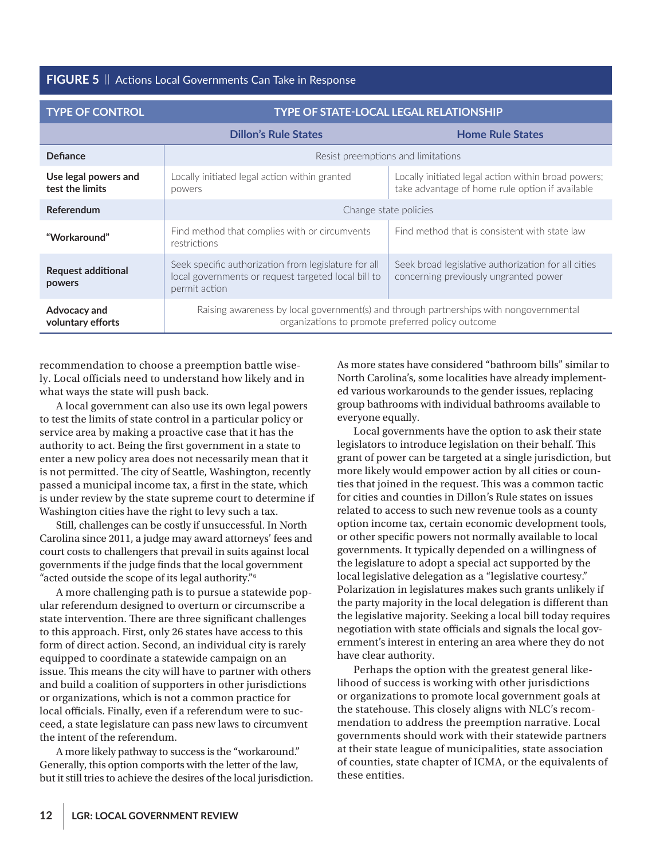**FIGURE 5** || Actions Local Governments Can Take in Response

| <b>TYPE OF CONTROL</b>                  | TYPE OF STATE-LOCAL LEGAL RELATIONSHIP                                                                                                      |                                                                                                        |  |
|-----------------------------------------|---------------------------------------------------------------------------------------------------------------------------------------------|--------------------------------------------------------------------------------------------------------|--|
|                                         | <b>Dillon's Rule States</b>                                                                                                                 | <b>Home Rule States</b>                                                                                |  |
| Defiance                                | Resist preemptions and limitations                                                                                                          |                                                                                                        |  |
| Use legal powers and<br>test the limits | Locally initiated legal action within granted<br>powers                                                                                     | Locally initiated legal action within broad powers;<br>take advantage of home rule option if available |  |
| Referendum                              | Change state policies                                                                                                                       |                                                                                                        |  |
| "Workaround"                            | Find method that complies with or circumvents<br>restrictions                                                                               | Find method that is consistent with state law                                                          |  |
| <b>Request additional</b><br>powers     | Seek specific authorization from legislature for all<br>local governments or request targeted local bill to<br>permit action                | Seek broad legislative authorization for all cities<br>concerning previously ungranted power           |  |
| Advocacy and<br>voluntary efforts       | Raising awareness by local government(s) and through partnerships with nongovernmental<br>organizations to promote preferred policy outcome |                                                                                                        |  |

recommendation to choose a preemption battle wisely. Local officials need to understand how likely and in what ways the state will push back.

A local government can also use its own legal powers to test the limits of state control in a particular policy or service area by making a proactive case that it has the authority to act. Being the first government in a state to enter a new policy area does not necessarily mean that it is not permitted. The city of Seattle, Washington, recently passed a municipal income tax, a first in the state, which is under review by the state supreme court to determine if Washington cities have the right to levy such a tax.

Still, challenges can be costly if unsuccessful. In North Carolina since 2011, a judge may award attorneys' fees and court costs to challengers that prevail in suits against local governments if the judge finds that the local government "acted outside the scope of its legal authority."6

A more challenging path is to pursue a statewide popular referendum designed to overturn or circumscribe a state intervention. There are three significant challenges to this approach. First, only 26 states have access to this form of direct action. Second, an individual city is rarely equipped to coordinate a statewide campaign on an issue. This means the city will have to partner with others and build a coalition of supporters in other jurisdictions or organizations, which is not a common practice for local officials. Finally, even if a referendum were to succeed, a state legislature can pass new laws to circumvent the intent of the referendum.

A more likely pathway to success is the "workaround." Generally, this option comports with the letter of the law, but it still tries to achieve the desires of the local jurisdiction. As more states have considered "bathroom bills" similar to North Carolina's, some localities have already implemented various workarounds to the gender issues, replacing group bathrooms with individual bathrooms available to everyone equally.

Local governments have the option to ask their state legislators to introduce legislation on their behalf. This grant of power can be targeted at a single jurisdiction, but more likely would empower action by all cities or counties that joined in the request. This was a common tactic for cities and counties in Dillon's Rule states on issues related to access to such new revenue tools as a county option income tax, certain economic development tools, or other specific powers not normally available to local governments. It typically depended on a willingness of the legislature to adopt a special act supported by the local legislative delegation as a "legislative courtesy." Polarization in legislatures makes such grants unlikely if the party majority in the local delegation is different than the legislative majority. Seeking a local bill today requires negotiation with state officials and signals the local government's interest in entering an area where they do not have clear authority.

Perhaps the option with the greatest general likelihood of success is working with other jurisdictions or organizations to promote local government goals at the statehouse. This closely aligns with NLC's recommendation to address the preemption narrative. Local governments should work with their statewide partners at their state league of municipalities, state association of counties, state chapter of ICMA, or the equivalents of these entities.